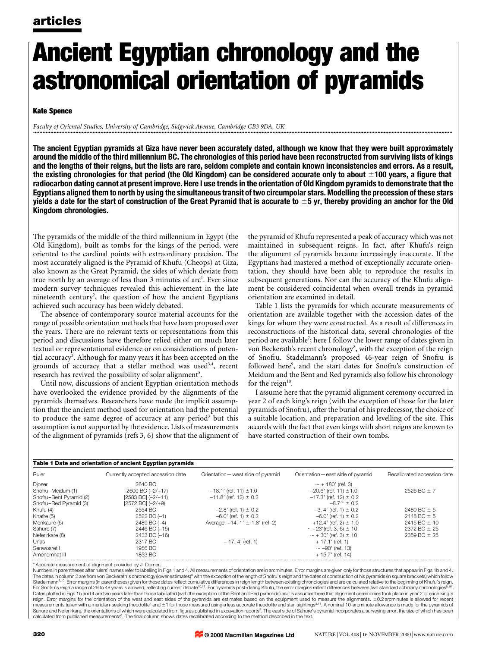# Ancient Egyptian chronology and the astronomical orientation of pyramids

### Kate Spence

Faculty of Oriental Studies, University of Cambridge, Sidgwick Avenue, Cambridge CB3 9DA, UK ............................................................................................................................................................................................................................................................................

The ancient Egyptian pyramids at Giza have never been accurately dated, although we know that they were built approximately around the middle of the third millennium BC. The chronologies of this period have been reconstructed from surviving lists of kings and the lengths of their reigns, but the lists are rare, seldom complete and contain known inconsistencies and errors. As a result, the existing chronologies for that period (the Old Kingdom) can be considered accurate only to about  $\pm 100$  years, a figure that radiocarbon dating cannot at present improve. Here I use trends in the orientation of Old Kingdom pyramids to demonstrate that the Egyptians aligned them to north by using the simultaneous transit of two circumpolar stars. Modelling the precession of these stars yields a date for the start of construction of the Great Pyramid that is accurate to  $\pm 5$  yr, thereby providing an anchor for the Old Kingdom chronologies.

The pyramids of the middle of the third millennium in Egypt (the Old Kingdom), built as tombs for the kings of the period, were oriented to the cardinal points with extraordinary precision. The most accurately aligned is the Pyramid of Khufu (Cheops) at Giza, also known as the Great Pyramid, the sides of which deviate from true north by an average of less than 3 minutes of arc<sup>1</sup>. Ever since modern survey techniques revealed this achievement in the late nineteenth century<sup>2</sup>, the question of how the ancient Egyptians achieved such accuracy has been widely debated.

The absence of contemporary source material accounts for the range of possible orientation methods that have been proposed over the years. There are no relevant texts or representations from this period and discussions have therefore relied either on much later textual or representational evidence or on considerations of potential accuracy<sup>3</sup>. Although for many years it has been accepted on the grounds of accuracy that a stellar method was used<sup>3,4</sup>, recent research has revived the possibility of solar alignment<sup>5</sup>.

Until now, discussions of ancient Egyptian orientation methods have overlooked the evidence provided by the alignments of the pyramids themselves. Researchers have made the implicit assumption that the ancient method used for orientation had the potential to produce the same degree of accuracy at any period<sup>3</sup> but this assumption is not supported by the evidence. Lists of measurements of the alignment of pyramids (refs 3, 6) show that the alignment of the pyramid of Khufu represented a peak of accuracy which was not maintained in subsequent reigns. In fact, after Khufu's reign the alignment of pyramids became increasingly inaccurate. If the Egyptians had mastered a method of exceptionally accurate orientation, they should have been able to reproduce the results in subsequent generations. Nor can the accuracy of the Khufu alignment be considered coincidental when overall trends in pyramid orientation are examined in detail.

Table 1 lists the pyramids for which accurate measurements of orientation are available together with the accession dates of the kings for whom they were constructed. As a result of differences in reconstructions of the historical data, several chronologies of the period are available<sup>7</sup>; here I follow the lower range of dates given in von Beckerath's recent chronology<sup>8</sup>, with the exception of the reign of Snofru. Stadelmann's proposed 46-year reign of Snofru is followed here<sup>9</sup>, and the start dates for Snofru's construction of Meidum and the Bent and Red pyramids also follow his chronology for the reign $10$ .

I assume here that the pyramid alignment ceremony occurred in year 2 of each king's reign (with the exception of those for the later pyramids of Snofru), after the burial of his predecessor, the choice of a suitable location, and preparation and levelling of the site. This accords with the fact that even kings with short reigns are known to have started construction of their own tombs.

| Table 1 Date and orientation of ancient Egyptian pyramids |                                   |                                     |                                    |                             |
|-----------------------------------------------------------|-----------------------------------|-------------------------------------|------------------------------------|-----------------------------|
| Ruler                                                     | Currently accepted accession date | Orientation - west side of pyramid  | Orientation - east side of pyramid | Recalibrated accession date |
| Djoser                                                    | 2640 BC                           |                                     | $\sim$ + 180' (ref. 3)             |                             |
| Snofru-Meidum (1)                                         | 2600 BC (-2/+17)                  | $-18.1'$ (ref. 11) $\pm 1.0$        | $-20.6'$ (ref. 11) $\pm$ 1.0       | $2526 BC \pm 7$             |
| Snofru-Bent Pyramid (2)                                   | $[2583$ BC $]$ $(-2/+11)$         | $-11.8'$ (ref. 12) $\pm$ 0.2        | $-17.3'$ (ref. 12) $\pm$ 0.2       |                             |
| Snofru-Red Pyramid (3)                                    | $[2572$ BC $]$ $(-2/+9)$          |                                     | $-8.7'' \pm 0.2$                   |                             |
| Khufu (4)                                                 | 2554 BC                           | $-2.8'$ (ref. 1) $\pm$ 0.2          | $-3.4'$ (ref. 1) $\pm$ 0.2         | 2480 BC $\pm$ 5             |
| Khafre (5)                                                | 2522 BC (-1)                      | $-6.0'$ (ref. 1) $\pm$ 0.2          | $-6.0$ ' (ref. 1) $\pm$ 0.2        | 2448 BC $\pm$ 5             |
| Menkaure (6)                                              | 2489 BC (-4)                      | Average: $+14.1' \pm 1.8'$ (ref. 2) | +12.4' (ref. 2) $\pm$ 1.0          | $2415 BC \pm 10$            |
| Sahure (7)                                                | 2446 BC (-15)                     |                                     | $\sim$ -23'(ref. 3, 6) $\pm$ 10    | $2372$ BC $\pm$ 25          |
| Neferirkare (8)                                           | 2433 BC (-16)                     |                                     | $\sim$ + 30' (ref. 3) $\pm$ 10     | $2359$ BC $\pm$ 25          |
| Unas                                                      | 2317 BC                           | $+17.4'$ (ref. 1)                   | $+17.1'$ (ref. 1)                  |                             |
| Senwosret I                                               | 1956 BC                           |                                     | $\sim -90'$ (ref. 13)              |                             |
| Amenemhat III                                             | 1853 BC                           |                                     | $+15.7'$ (ref. 14)                 |                             |

\* Accurate measurement of alignment provided by J. Dorne.

Numbers in parentheses after rulers' names refer to labelling in Figs 1 and 4. All measurements of orientation are in arcminutes. Frror margins are given only for those structures that appear in Figs 1b and 4. The dates in column 2 are from von Beckerath's chronology (lower estimates)<sup>s</sup> with the exception of the length of Snofru's reign and the dates of construction of his pyramids (in square brackets) which follow<br>Stadelmann<sup>a</sup> Dates plotted in Figs 1b and 4 are two years later than those tabulated (with the exception of the Bent and Red pyramids) as it is assumed here that alignment ceremonies took place in year 2 of each king's reign. Error margins for the orientation of the west and east sides of the pyramids are estimates based on the equipment used to measure the alignments. ±0.2 arcminutes is allowed for recent measurements taken with a meridian-seeking theodolite<sup>1</sup> and ±1 for those measured using a less accurate theodolite and star-sightings<sup>2,11</sup>. A nominal 10-arcminute allowance is made for the pyramids of Sahure and Neferirkare, the orientations of which were calculated from figures published in excavation reports<sup>3</sup>. The east side of Sahure's pyramid incorporates a surveying error, the size of which has been calculated from published measurements<sup>6</sup>. The final column shows dates recalibrated according to the method described in the text.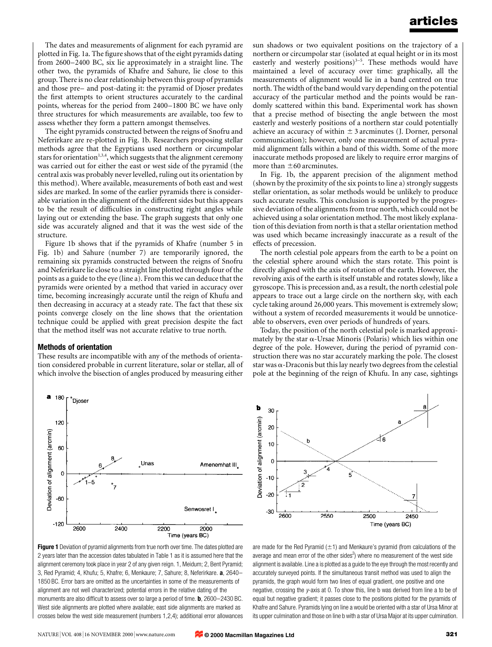The dates and measurements of alignment for each pyramid are plotted in Fig. 1a. The figure shows that of the eight pyramids dating from 2600-2400 BC, six lie approximately in a straight line. The other two, the pyramids of Khafre and Sahure, lie close to this group. There is no clear relationship between this group of pyramids and those pre– and post-dating it: the pyramid of Djoser predates the first attempts to orient structures accurately to the cardinal points, whereas for the period from 2400-1800 BC we have only three structures for which measurements are available, too few to assess whether they form a pattern amongst themselves.

The eight pyramids constructed between the reigns of Snofru and Neferirkare are re-plotted in Fig. 1b. Researchers proposing stellar methods agree that the Egyptians used northern or circumpolar stars for orientation<sup>1,3,4</sup>, which suggests that the alignment ceremony was carried out for either the east or west side of the pyramid (the central axis was probably never levelled, ruling out its orientation by this method). Where available, measurements of both east and west sides are marked. In some of the earlier pyramids there is considerable variation in the alignment of the different sides but this appears to be the result of difficulties in constructing right angles while laying out or extending the base. The graph suggests that only one side was accurately aligned and that it was the west side of the structure.

Figure 1b shows that if the pyramids of Khafre (number 5 in Fig. 1b) and Sahure (number 7) are temporarily ignored, the remaining six pyramids constructed between the reigns of Snofru and Neferirkare lie close to a straight line plotted through four of the points as a guide to the eye (line a). From this we can deduce that the pyramids were oriented by a method that varied in accuracy over time, becoming increasingly accurate until the reign of Khufu and then decreasing in accuracy at a steady rate. The fact that these six points converge closely on the line shows that the orientation technique could be applied with great precision despite the fact that the method itself was not accurate relative to true north.

#### Methods of orientation

These results are incompatible with any of the methods of orientation considered probable in current literature, solar or stellar, all of which involve the bisection of angles produced by measuring either



Figure 1 Deviation of pyramid alignments from true north over time. The dates plotted are 2 years later than the accession dates tabulated in Table 1 as it is assumed here that the alignment ceremony took place in year 2 of any given reign. 1, Meidum; 2, Bent Pyramid; 3, Red Pyramid; 4, Khufu; 5, Khafre; 6, Menkaure; 7, Sahure; 8, Neferirkare. a, 2640-1850 BC. Error bars are omitted as the uncertainties in some of the measurements of alignment are not well characterized; potential errors in the relative dating of the monuments are also difficult to assess over so large a period of time. **b**,  $2600-2430$  BC. West side alignments are plotted where available; east side alignments are marked as crosses below the west side measurement (numbers 1,2,4); additional error allowances

sun shadows or two equivalent positions on the trajectory of a northern or circumpolar star (isolated at equal height or in its most easterly and westerly positions)<sup>3-5</sup>. These methods would have maintained a level of accuracy over time: graphically, all the measurements of alignment would lie in a band centred on true north. The width of the band would vary depending on the potential accuracy of the particular method and the points would be randomly scattered within this band. Experimental work has shown that a precise method of bisecting the angle between the most easterly and westerly positions of a northern star could potentially achieve an accuracy of within  $\pm$  3 arcminutes (J. Dorner, personal communication); however, only one measurement of actual pyramid alignment falls within a band of this width. Some of the more inaccurate methods proposed are likely to require error margins of more than  $\pm 60$  arcminutes.

In Fig. 1b, the apparent precision of the alignment method (shown by the proximity of the six points to line a) strongly suggests stellar orientation, as solar methods would be unlikely to produce such accurate results. This conclusion is supported by the progressive deviation of the alignments from true north, which could not be achieved using a solar orientation method. The most likely explanation of this deviation from north is that a stellar orientation method was used which became increasingly inaccurate as a result of the effects of precession.

The north celestial pole appears from the earth to be a point on the celestial sphere around which the stars rotate. This point is directly aligned with the axis of rotation of the earth. However, the revolving axis of the earth is itself unstable and rotates slowly, like a gyroscope. This is precession and, as a result, the north celestial pole appears to trace out a large circle on the northern sky, with each cycle taking around 26,000 years. This movement is extremely slow; without a system of recorded measurements it would be unnoticeable to observers, even over periods of hundreds of years.

Today, the position of the north celestial pole is marked approximately by the star  $\alpha$ -Ursae Minoris (Polaris) which lies within one degree of the pole. However, during the period of pyramid construction there was no star accurately marking the pole. The closest star was  $\alpha$ -Draconis but this lay nearly two degrees from the celestial pole at the beginning of the reign of Khufu. In any case, sightings



are made for the Red Pyramid  $(\pm 1)$  and Menkaure's pyramid (from calculations of the average and mean error of the other sides<sup>2</sup>) where no measurement of the west side alignment is available. Line a is plotted as a guide to the eye through the most recently and accurately surveyed points. If the simultaneous transit method was used to align the pyramids, the graph would form two lines of equal gradient, one positive and one negative, crossing the y-axis at 0. To show this, line b was derived from line a to be of equal but negative gradient; it passes close to the positions plotted for the pyramids of Khafre and Sahure. Pyramids lying on line a would be oriented with a star of Ursa Minor at its upper culmination and those on line b with a star of Ursa Major at its upper culmination.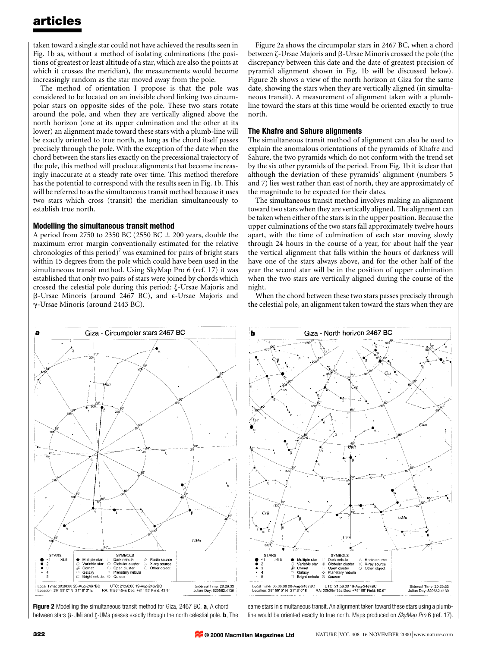taken toward a single star could not have achieved the results seen in Fig. 1b as, without a method of isolating culminations (the positions of greatest or least altitude of a star, which are also the points at which it crosses the meridian), the measurements would become increasingly random as the star moved away from the pole.

The method of orientation I propose is that the pole was considered to be located on an invisible chord linking two circumpolar stars on opposite sides of the pole. These two stars rotate around the pole, and when they are vertically aligned above the north horizon (one at its upper culmination and the other at its lower) an alignment made toward these stars with a plumb-line will be exactly oriented to true north, as long as the chord itself passes precisely through the pole. With the exception of the date when the chord between the stars lies exactly on the precessional trajectory of the pole, this method will produce alignments that become increasingly inaccurate at a steady rate over time. This method therefore has the potential to correspond with the results seen in Fig. 1b. This will be referred to as the simultaneous transit method because it uses two stars which cross (transit) the meridian simultaneously to establish true north.

## Modelling the simultaneous transit method

A period from 2750 to 2350 BC (2550 BC  $\pm$  200 years, double the maximum error margin conventionally estimated for the relative chronologies of this period)<sup>7</sup> was examined for pairs of bright stars within 15 degrees from the pole which could have been used in the simultaneous transit method. Using SkyMap Pro 6 (ref. 17) it was established that only two pairs of stars were joined by chords which crossed the celestial pole during this period: z-Ursae Majoris and  $\beta$ -Ursae Minoris (around 2467 BC), and  $\epsilon$ -Ursae Majoris and g-Ursae Minoris (around 2443 BC).

Figure 2a shows the circumpolar stars in 2467 BC, when a chord between  $\zeta$ -Ursae Majoris and  $\beta$ -Ursae Minoris crossed the pole (the discrepancy between this date and the date of greatest precision of pyramid alignment shown in Fig. 1b will be discussed below). Figure 2b shows a view of the north horizon at Giza for the same date, showing the stars when they are vertically aligned (in simultaneous transit). A measurement of alignment taken with a plumbline toward the stars at this time would be oriented exactly to true north.

#### The Khafre and Sahure alignments

The simultaneous transit method of alignment can also be used to explain the anomalous orientations of the pyramids of Khafre and Sahure, the two pyramids which do not conform with the trend set by the six other pyramids of the period. From Fig. 1b it is clear that although the deviation of these pyramids' alignment (numbers 5 and 7) lies west rather than east of north, they are approximately of the magnitude to be expected for their dates.

The simultaneous transit method involves making an alignment toward two stars when they are vertically aligned. The alignment can be taken when either of the stars is in the upper position. Because the upper culminations of the two stars fall approximately twelve hours apart, with the time of culmination of each star moving slowly through 24 hours in the course of a year, for about half the year the vertical alignment that falls within the hours of darkness will have one of the stars always above, and for the other half of the year the second star will be in the position of upper culmination when the two stars are vertically aligned during the course of the night.

When the chord between these two stars passes precisely through the celestial pole, an alignment taken toward the stars when they are



Figure 2 Modelling the simultaneous transit method for Giza, 2467 BC. a, A chord between stars  $\beta$ -UMi and  $\zeta$ -UMa passes exactly through the north celestial pole. **b**, The same stars in simultaneous transit. An alignment taken toward these stars using a plumbline would be oriented exactly to true north. Maps produced on SkyMap Pro 6 (ref. 17).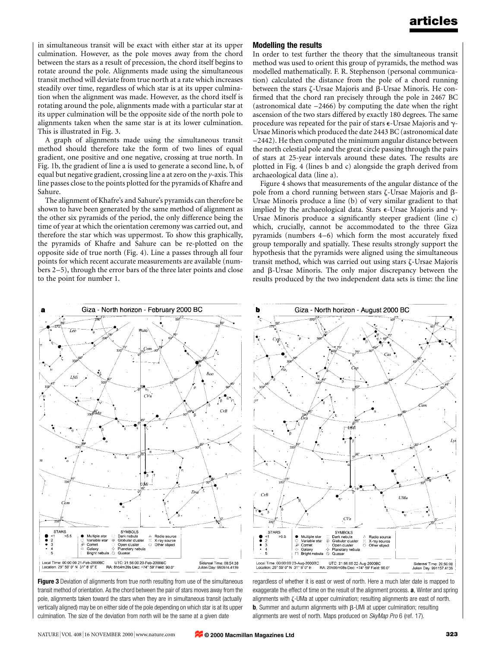in simultaneous transit will be exact with either star at its upper culmination. However, as the pole moves away from the chord between the stars as a result of precession, the chord itself begins to rotate around the pole. Alignments made using the simultaneous transit method will deviate from true north at a rate which increases steadily over time, regardless of which star is at its upper culmination when the alignment was made. However, as the chord itself is rotating around the pole, alignments made with a particular star at its upper culmination will be the opposite side of the north pole to alignments taken when the same star is at its lower culmination. This is illustrated in Fig. 3.

A graph of alignments made using the simultaneous transit method should therefore take the form of two lines of equal gradient, one positive and one negative, crossing at true north. In Fig. 1b, the gradient of line a is used to generate a second line, b, of equal but negative gradient, crossing line a at zero on the  $\gamma$ -axis. This line passes close to the points plotted for the pyramids of Khafre and Sahure.

The alignment of Khafre's and Sahure's pyramids can therefore be shown to have been generated by the same method of alignment as the other six pyramids of the period, the only difference being the time of year at which the orientation ceremony was carried out, and therefore the star which was uppermost. To show this graphically, the pyramids of Khafre and Sahure can be re-plotted on the opposite side of true north (Fig. 4). Line a passes through all four points for which recent accurate measurements are available (numbers 2-5), through the error bars of the three later points and close to the point for number 1.

## Modelling the results

In order to test further the theory that the simultaneous transit method was used to orient this group of pyramids, the method was modelled mathematically. F. R. Stephenson (personal communication) calculated the distance from the pole of a chord running between the stars  $\zeta$ -Ursae Majoris and  $\beta$ -Ursae Minoris. He confirmed that the chord ran precisely through the pole in 2467 BC (astronomical date  $-2466$ ) by computing the date when the right ascension of the two stars differed by exactly 180 degrees. The same procedure was repeated for the pair of stars  $\epsilon$ -Ursae Majoris and  $\gamma$ -Ursae Minoris which produced the date 2443 BC (astronomical date -2442). He then computed the minimum angular distance between the north celestial pole and the great circle passing through the pairs of stars at 25-year intervals around these dates. The results are plotted in Fig. 4 (lines b and c) alongside the graph derived from archaeological data (line a).

Figure 4 shows that measurements of the angular distance of the pole from a chord running between stars  $\zeta$ -Ursae Majoris and  $\beta$ -Ursae Minoris produce a line (b) of very similar gradient to that implied by the archaeological data. Stars  $\epsilon$ -Ursae Majoris and  $\gamma$ -Ursae Minoris produce a significantly steeper gradient (line c) which, crucially, cannot be accommodated to the three Giza pyramids (numbers  $4-6$ ) which form the most accurately fixed group temporally and spatially. These results strongly support the hypothesis that the pyramids were aligned using the simultaneous transit method, which was carried out using stars  $\zeta$ -Ursae Majoris and  $\beta$ -Ursae Minoris. The only major discrepancy between the results produced by the two independent data sets is time: the line



**Figure 3** Deviation of alignments from true north resulting from use of the simultaneous transit method of orientation. As the chord between the pair of stars moves away from the pole, alignments taken toward the stars when they are in simultaneous transit (actually vertically aligned) may be on either side of the pole depending on which star is at its upper culmination. The size of the deviation from north will be the same at a given date



regardless of whether it is east or west of north. Here a much later date is mapped to exaggerate the effect of time on the result of the alignment process. **a**, Winter and spring alignments with z-UMa at upper culmination; resulting alignments are east of north. **b**, Summer and autumn alignments with  $\beta$ -UMi at upper culmination; resulting alignments are west of north. Maps produced on SkyMap Pro 6 (ref. 17).